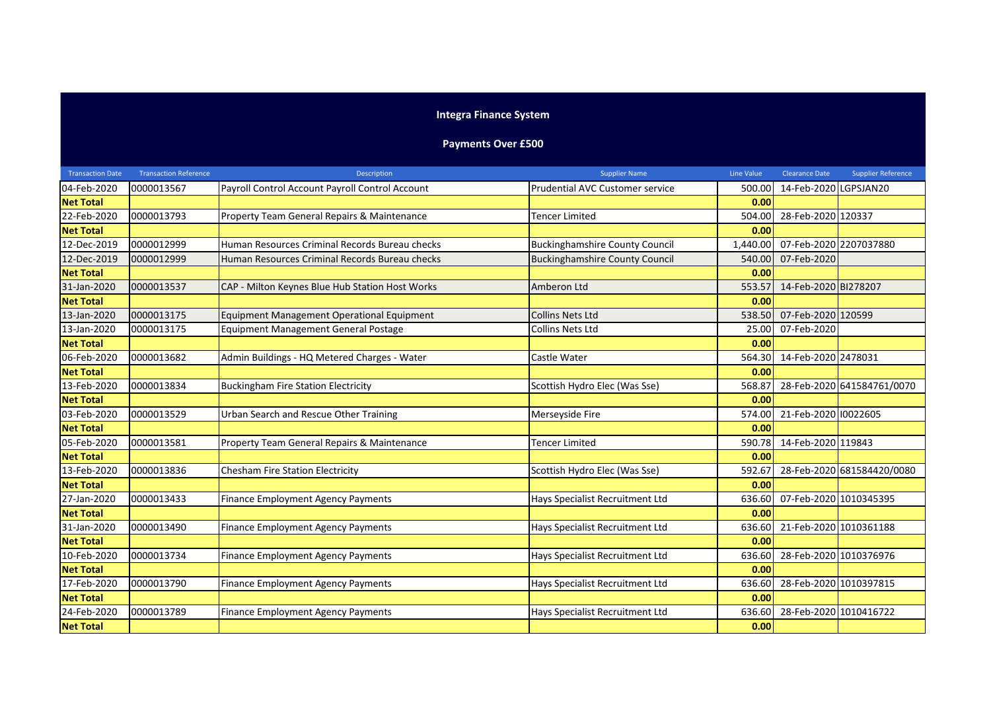## **Integra Finance System**

## **Payments Over £500**

| <b>Transaction Date</b> | <b>Transaction Reference</b> | Description                                     | <b>Supplier Name</b>                  | <b>Line Value</b> | <b>Clearance Date</b>  | <b>Supplier Reference</b>  |
|-------------------------|------------------------------|-------------------------------------------------|---------------------------------------|-------------------|------------------------|----------------------------|
| 04-Feb-2020             | 0000013567                   | Payroll Control Account Payroll Control Account | Prudential AVC Customer service       | 500.00            | 14-Feb-2020 LGPSJAN20  |                            |
| <b>Net Total</b>        |                              |                                                 |                                       | 0.00              |                        |                            |
| 22-Feb-2020             | 0000013793                   | Property Team General Repairs & Maintenance     | Tencer Limited                        | 504.00            | 28-Feb-2020 120337     |                            |
| <b>Net Total</b>        |                              |                                                 |                                       | 0.00              |                        |                            |
| 12-Dec-2019             | 0000012999                   | Human Resources Criminal Records Bureau checks  | <b>Buckinghamshire County Council</b> | 1,440.00          | 07-Feb-2020 2207037880 |                            |
| 12-Dec-2019             | 0000012999                   | Human Resources Criminal Records Bureau checks  | <b>Buckinghamshire County Council</b> | 540.00            | 07-Feb-2020            |                            |
| <b>Net Total</b>        |                              |                                                 |                                       | 0.00              |                        |                            |
| 31-Jan-2020             | 0000013537                   | CAP - Milton Keynes Blue Hub Station Host Works | Amberon Ltd                           | 553.57            | 14-Feb-2020 BI278207   |                            |
| <b>Net Total</b>        |                              |                                                 |                                       | 0.00              |                        |                            |
| 13-Jan-2020             | 0000013175                   | Equipment Management Operational Equipment      | <b>Collins Nets Ltd</b>               | 538.50            | 07-Feb-2020 120599     |                            |
| 13-Jan-2020             | 0000013175                   | <b>Equipment Management General Postage</b>     | Collins Nets Ltd                      | 25.00             | 07-Feb-2020            |                            |
| <b>Net Total</b>        |                              |                                                 |                                       | 0.00              |                        |                            |
| 06-Feb-2020             | 0000013682                   | Admin Buildings - HQ Metered Charges - Water    | Castle Water                          | 564.30            | 14-Feb-2020 2478031    |                            |
| <b>Net Total</b>        |                              |                                                 |                                       | 0.00              |                        |                            |
| 13-Feb-2020             | 0000013834                   | <b>Buckingham Fire Station Electricity</b>      | Scottish Hydro Elec (Was Sse)         | 568.87            |                        | 28-Feb-2020 641584761/0070 |
| <b>Net Total</b>        |                              |                                                 |                                       | 0.00              |                        |                            |
| 03-Feb-2020             | 0000013529                   | Urban Search and Rescue Other Training          | Merseyside Fire                       | 574.00            | 21-Feb-2020 10022605   |                            |
| <b>Net Total</b>        |                              |                                                 |                                       | 0.00              |                        |                            |
| 05-Feb-2020             | 0000013581                   | Property Team General Repairs & Maintenance     | <b>Tencer Limited</b>                 | 590.78            | 14-Feb-2020 119843     |                            |
| <b>Net Total</b>        |                              |                                                 |                                       | 0.00              |                        |                            |
| 13-Feb-2020             | 0000013836                   | Chesham Fire Station Electricity                | Scottish Hydro Elec (Was Sse)         | 592.67            |                        | 28-Feb-2020 681584420/0080 |
| <b>Net Total</b>        |                              |                                                 |                                       | 0.00              |                        |                            |
| 27-Jan-2020             | 0000013433                   | <b>Finance Employment Agency Payments</b>       | Hays Specialist Recruitment Ltd       | 636.60            | 07-Feb-2020 1010345395 |                            |
| <b>Net Total</b>        |                              |                                                 |                                       | 0.00              |                        |                            |
| 31-Jan-2020             | 0000013490                   | <b>Finance Employment Agency Payments</b>       | Hays Specialist Recruitment Ltd       | 636.60            | 21-Feb-2020 1010361188 |                            |
| <b>Net Total</b>        |                              |                                                 |                                       | 0.00              |                        |                            |
| 10-Feb-2020             | 0000013734                   | <b>Finance Employment Agency Payments</b>       | Hays Specialist Recruitment Ltd       | 636.60            | 28-Feb-2020 1010376976 |                            |
| <b>Net Total</b>        |                              |                                                 |                                       | 0.00              |                        |                            |
| 17-Feb-2020             | 0000013790                   | <b>Finance Employment Agency Payments</b>       | Hays Specialist Recruitment Ltd       | 636.60            | 28-Feb-2020 1010397815 |                            |
| <b>Net Total</b>        |                              |                                                 |                                       | 0.00              |                        |                            |
| 24-Feb-2020             | 0000013789                   | <b>Finance Employment Agency Payments</b>       | Hays Specialist Recruitment Ltd       | 636.60            | 28-Feb-2020 1010416722 |                            |
| <b>Net Total</b>        |                              |                                                 |                                       | 0.00              |                        |                            |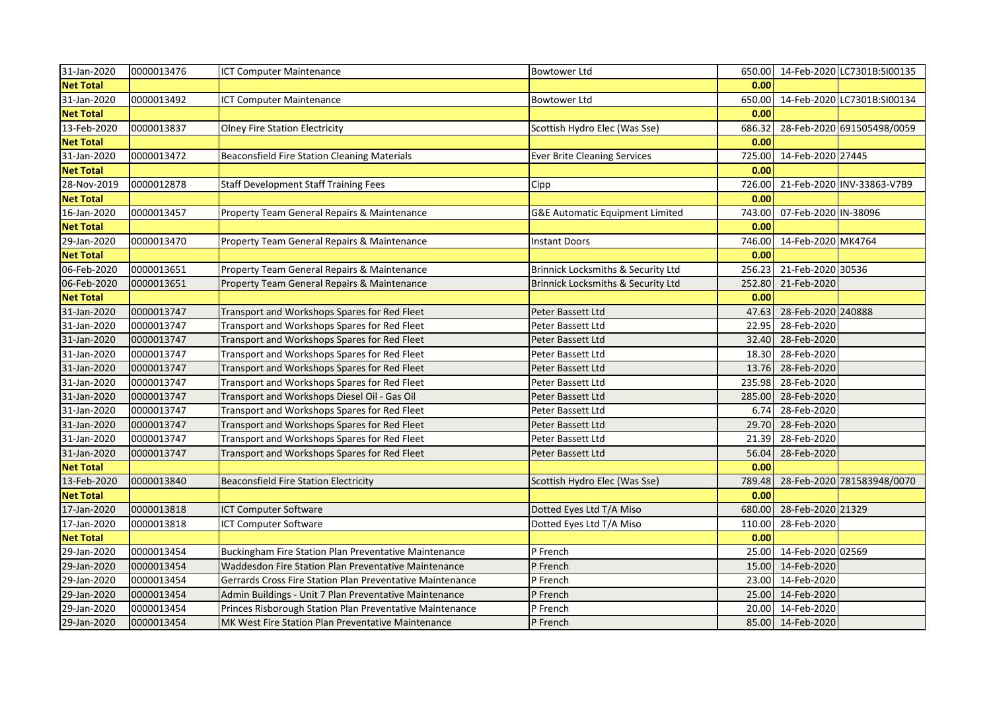| 31-Jan-2020      | 0000013476 | ICT Computer Maintenance                                  | <b>Bowtower Ltd</b>                        |        |                          | 650.00 14-Feb-2020 LC7301B:SI00135 |
|------------------|------------|-----------------------------------------------------------|--------------------------------------------|--------|--------------------------|------------------------------------|
| <b>Net Total</b> |            |                                                           |                                            | 0.00   |                          |                                    |
| 31-Jan-2020      | 0000013492 | ICT Computer Maintenance                                  | <b>Bowtower Ltd</b>                        | 650.00 |                          | 14-Feb-2020 LC7301B:SI00134        |
| <b>Net Total</b> |            |                                                           |                                            | 0.00   |                          |                                    |
| 13-Feb-2020      | 0000013837 | <b>Olney Fire Station Electricity</b>                     | Scottish Hydro Elec (Was Sse)              | 686.32 |                          | 28-Feb-2020 691505498/0059         |
| <b>Net Total</b> |            |                                                           |                                            | 0.00   |                          |                                    |
| 31-Jan-2020      | 0000013472 | <b>Beaconsfield Fire Station Cleaning Materials</b>       | <b>Ever Brite Cleaning Services</b>        |        | 725.00 14-Feb-2020 27445 |                                    |
| <b>Net Total</b> |            |                                                           |                                            | 0.00   |                          |                                    |
| 28-Nov-2019      | 0000012878 | <b>Staff Development Staff Training Fees</b>              | Cipp                                       | 726.00 |                          | 21-Feb-2020 INV-33863-V7B9         |
| <b>Net Total</b> |            |                                                           |                                            | 0.00   |                          |                                    |
| 16-Jan-2020      | 0000013457 | Property Team General Repairs & Maintenance               | <b>G&amp;E Automatic Equipment Limited</b> | 743.00 | 07-Feb-2020 IN-38096     |                                    |
| <b>Net Total</b> |            |                                                           |                                            | 0.00   |                          |                                    |
| 29-Jan-2020      | 0000013470 | Property Team General Repairs & Maintenance               | <b>Instant Doors</b>                       | 746.00 | 14-Feb-2020 MK4764       |                                    |
| <b>Net Total</b> |            |                                                           |                                            | 0.00   |                          |                                    |
| 06-Feb-2020      | 0000013651 | Property Team General Repairs & Maintenance               | Brinnick Locksmiths & Security Ltd         | 256.23 | 21-Feb-2020 30536        |                                    |
| 06-Feb-2020      | 0000013651 | Property Team General Repairs & Maintenance               | Brinnick Locksmiths & Security Ltd         | 252.80 | 21-Feb-2020              |                                    |
| <b>Net Total</b> |            |                                                           |                                            | 0.00   |                          |                                    |
| 31-Jan-2020      | 0000013747 | Transport and Workshops Spares for Red Fleet              | Peter Bassett Ltd                          | 47.63  | 28-Feb-2020 240888       |                                    |
| 31-Jan-2020      | 0000013747 | Transport and Workshops Spares for Red Fleet              | Peter Bassett Ltd                          | 22.95  | 28-Feb-2020              |                                    |
| 31-Jan-2020      | 0000013747 | Transport and Workshops Spares for Red Fleet              | Peter Bassett Ltd                          | 32.40  | 28-Feb-2020              |                                    |
| 31-Jan-2020      | 0000013747 | Transport and Workshops Spares for Red Fleet              | Peter Bassett Ltd                          | 18.30  | 28-Feb-2020              |                                    |
| 31-Jan-2020      | 0000013747 | Transport and Workshops Spares for Red Fleet              | Peter Bassett Ltd                          | 13.76  | 28-Feb-2020              |                                    |
| 31-Jan-2020      | 0000013747 | Transport and Workshops Spares for Red Fleet              | Peter Bassett Ltd                          | 235.98 | 28-Feb-2020              |                                    |
| 31-Jan-2020      | 0000013747 | Transport and Workshops Diesel Oil - Gas Oil              | Peter Bassett Ltd                          | 285.00 | 28-Feb-2020              |                                    |
| 31-Jan-2020      | 0000013747 | Transport and Workshops Spares for Red Fleet              | Peter Bassett Ltd                          | 6.74   | 28-Feb-2020              |                                    |
| 31-Jan-2020      | 0000013747 | Transport and Workshops Spares for Red Fleet              | Peter Bassett Ltd                          | 29.70  | 28-Feb-2020              |                                    |
| 31-Jan-2020      | 0000013747 | Transport and Workshops Spares for Red Fleet              | Peter Bassett Ltd                          | 21.39  | 28-Feb-2020              |                                    |
| 31-Jan-2020      | 0000013747 | Transport and Workshops Spares for Red Fleet              | Peter Bassett Ltd                          | 56.04  | 28-Feb-2020              |                                    |
| <b>Net Total</b> |            |                                                           |                                            | 0.00   |                          |                                    |
| 13-Feb-2020      | 0000013840 | <b>Beaconsfield Fire Station Electricity</b>              | Scottish Hydro Elec (Was Sse)              |        |                          | 789.48 28-Feb-2020 781583948/0070  |
| <b>Net Total</b> |            |                                                           |                                            | 0.00   |                          |                                    |
| 17-Jan-2020      | 0000013818 | ICT Computer Software                                     | Dotted Eyes Ltd T/A Miso                   | 680.00 | 28-Feb-2020 21329        |                                    |
| 17-Jan-2020      | 0000013818 | ICT Computer Software                                     | Dotted Eyes Ltd T/A Miso                   | 110.00 | 28-Feb-2020              |                                    |
| <b>Net Total</b> |            |                                                           |                                            | 0.00   |                          |                                    |
| 29-Jan-2020      | 0000013454 | Buckingham Fire Station Plan Preventative Maintenance     | P French                                   | 25.00  | 14-Feb-2020 02569        |                                    |
| 29-Jan-2020      | 0000013454 | Waddesdon Fire Station Plan Preventative Maintenance      | P French                                   |        | 15.00 14-Feb-2020        |                                    |
| 29-Jan-2020      | 0000013454 | Gerrards Cross Fire Station Plan Preventative Maintenance | P French                                   |        | 23.00 14-Feb-2020        |                                    |
| 29-Jan-2020      | 0000013454 | Admin Buildings - Unit 7 Plan Preventative Maintenance    | P French                                   |        | 25.00 14-Feb-2020        |                                    |
| 29-Jan-2020      | 0000013454 | Princes Risborough Station Plan Preventative Maintenance  | P French                                   |        | 20.00 14-Feb-2020        |                                    |
| 29-Jan-2020      | 0000013454 | MK West Fire Station Plan Preventative Maintenance        | P French                                   |        | 85.00 14-Feb-2020        |                                    |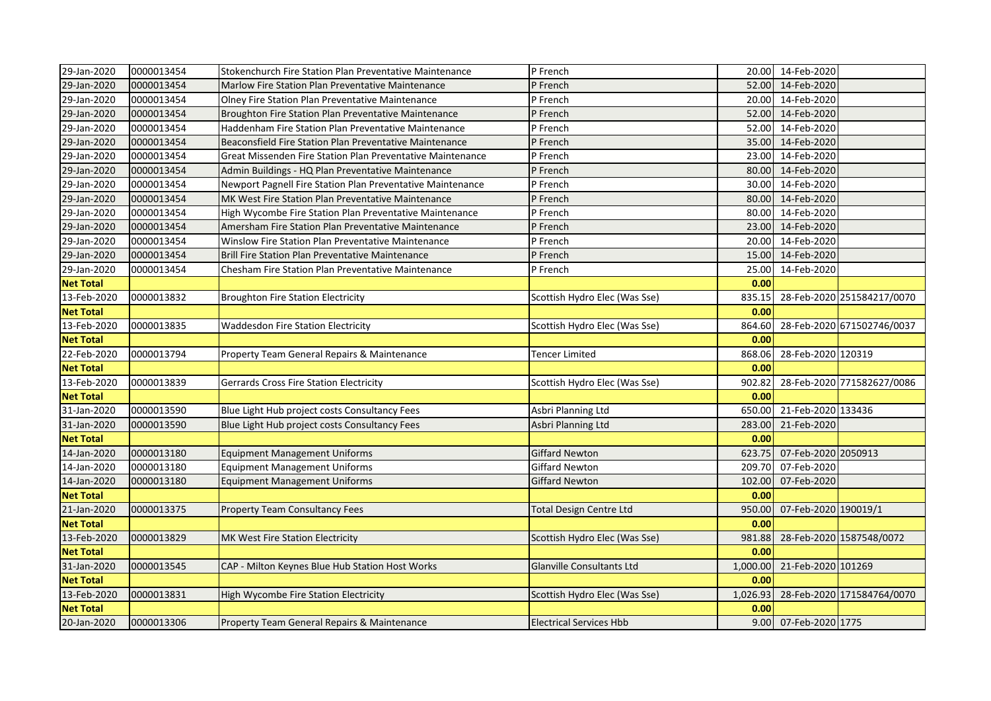| 29-Jan-2020      | 0000013454 | Stokenchurch Fire Station Plan Preventative Maintenance    | P French                         |          | 20.00 14-Feb-2020     |                            |
|------------------|------------|------------------------------------------------------------|----------------------------------|----------|-----------------------|----------------------------|
| 29-Jan-2020      | 0000013454 | Marlow Fire Station Plan Preventative Maintenance          | P French                         |          | 52.00 14-Feb-2020     |                            |
| 29-Jan-2020      | 0000013454 | Olney Fire Station Plan Preventative Maintenance           | P French                         |          | 20.00 14-Feb-2020     |                            |
| 29-Jan-2020      | 0000013454 | Broughton Fire Station Plan Preventative Maintenance       | P French                         |          | 52.00 14-Feb-2020     |                            |
| 29-Jan-2020      | 0000013454 | Haddenham Fire Station Plan Preventative Maintenance       | P French                         | 52.00    | 14-Feb-2020           |                            |
| 29-Jan-2020      | 0000013454 | Beaconsfield Fire Station Plan Preventative Maintenance    | P French                         |          | 35.00 14-Feb-2020     |                            |
| 29-Jan-2020      | 0000013454 | Great Missenden Fire Station Plan Preventative Maintenance | P French                         |          | 23.00 14-Feb-2020     |                            |
| 29-Jan-2020      | 0000013454 | Admin Buildings - HQ Plan Preventative Maintenance         | P French                         |          | 80.00 14-Feb-2020     |                            |
| 29-Jan-2020      | 0000013454 | Newport Pagnell Fire Station Plan Preventative Maintenance | P French                         | 30.00    | 14-Feb-2020           |                            |
| 29-Jan-2020      | 0000013454 | MK West Fire Station Plan Preventative Maintenance         | P French                         | 80.00    | 14-Feb-2020           |                            |
| 29-Jan-2020      | 0000013454 | High Wycombe Fire Station Plan Preventative Maintenance    | P French                         | 80.00    | 14-Feb-2020           |                            |
| 29-Jan-2020      | 0000013454 | Amersham Fire Station Plan Preventative Maintenance        | P French                         |          | 23.00 14-Feb-2020     |                            |
| 29-Jan-2020      | 0000013454 | Winslow Fire Station Plan Preventative Maintenance         | P French                         | 20.00    | 14-Feb-2020           |                            |
| 29-Jan-2020      | 0000013454 | Brill Fire Station Plan Preventative Maintenance           | P French                         |          | 15.00 14-Feb-2020     |                            |
| 29-Jan-2020      | 0000013454 | Chesham Fire Station Plan Preventative Maintenance         | P French                         | 25.00    | 14-Feb-2020           |                            |
| <b>Net Total</b> |            |                                                            |                                  | 0.00     |                       |                            |
| 13-Feb-2020      | 0000013832 | <b>Broughton Fire Station Electricity</b>                  | Scottish Hydro Elec (Was Sse)    | 835.15   |                       | 28-Feb-2020 251584217/0070 |
| <b>Net Total</b> |            |                                                            |                                  | 0.00     |                       |                            |
| 13-Feb-2020      | 0000013835 | <b>Waddesdon Fire Station Electricity</b>                  | Scottish Hydro Elec (Was Sse)    | 864.60   |                       | 28-Feb-2020 671502746/0037 |
| <b>Net Total</b> |            |                                                            |                                  | 0.00     |                       |                            |
| 22-Feb-2020      | 0000013794 | Property Team General Repairs & Maintenance                | Tencer Limited                   | 868.06   | 28-Feb-2020 120319    |                            |
| <b>Net Total</b> |            |                                                            |                                  | 0.00     |                       |                            |
| 13-Feb-2020      | 0000013839 | <b>Gerrards Cross Fire Station Electricity</b>             | Scottish Hydro Elec (Was Sse)    | 902.82   |                       | 28-Feb-2020 771582627/0086 |
| <b>Net Total</b> |            |                                                            |                                  | 0.00     |                       |                            |
| 31-Jan-2020      | 0000013590 | Blue Light Hub project costs Consultancy Fees              | Asbri Planning Ltd               | 650.00   | 21-Feb-2020 133436    |                            |
| 31-Jan-2020      | 0000013590 | Blue Light Hub project costs Consultancy Fees              | Asbri Planning Ltd               | 283.00   | 21-Feb-2020           |                            |
| <b>Net Total</b> |            |                                                            |                                  | 0.00     |                       |                            |
| 14-Jan-2020      | 0000013180 | <b>Equipment Management Uniforms</b>                       | <b>Giffard Newton</b>            | 623.75   | 07-Feb-2020 2050913   |                            |
| 14-Jan-2020      | 0000013180 | <b>Equipment Management Uniforms</b>                       | <b>Giffard Newton</b>            | 209.70   | 07-Feb-2020           |                            |
| 14-Jan-2020      | 0000013180 | <b>Equipment Management Uniforms</b>                       | <b>Giffard Newton</b>            | 102.00   | 07-Feb-2020           |                            |
| <b>Net Total</b> |            |                                                            |                                  | 0.00     |                       |                            |
| 21-Jan-2020      | 0000013375 | <b>Property Team Consultancy Fees</b>                      | <b>Total Design Centre Ltd</b>   | 950.00   | 07-Feb-2020 190019/1  |                            |
| <b>Net Total</b> |            |                                                            |                                  | 0.00     |                       |                            |
| 13-Feb-2020      | 0000013829 | MK West Fire Station Electricity                           | Scottish Hydro Elec (Was Sse)    | 981.88   |                       | 28-Feb-2020 1587548/0072   |
| <b>Net Total</b> |            |                                                            |                                  | 0.00     |                       |                            |
| 31-Jan-2020      | 0000013545 | CAP - Milton Keynes Blue Hub Station Host Works            | <b>Glanville Consultants Ltd</b> | 1,000.00 | 21-Feb-2020 101269    |                            |
| <b>Net Total</b> |            |                                                            |                                  | 0.00     |                       |                            |
| 13-Feb-2020      | 0000013831 | High Wycombe Fire Station Electricity                      | Scottish Hydro Elec (Was Sse)    | 1,026.93 |                       | 28-Feb-2020 171584764/0070 |
| <b>Net Total</b> |            |                                                            |                                  | 0.00     |                       |                            |
| 20-Jan-2020      | 0000013306 | Property Team General Repairs & Maintenance                | <b>Electrical Services Hbb</b>   |          | 9.00 07-Feb-2020 1775 |                            |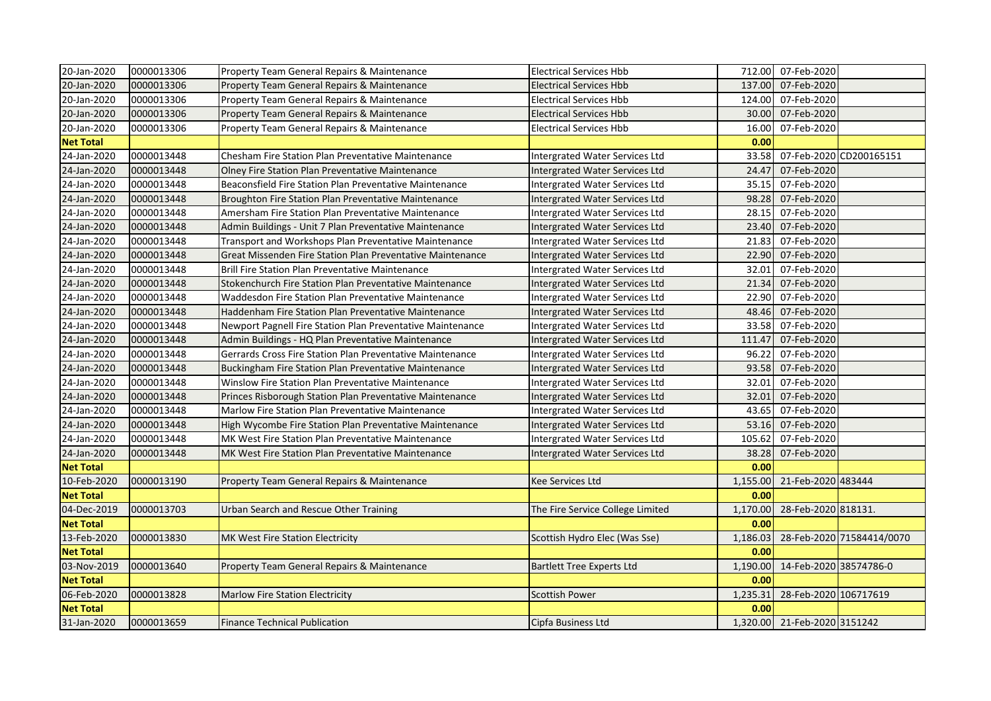| 20-Jan-2020      | 0000013306 | Property Team General Repairs & Maintenance                | <b>Electrical Services Hbb</b>   |          | 712.00 07-Feb-2020           |                           |
|------------------|------------|------------------------------------------------------------|----------------------------------|----------|------------------------------|---------------------------|
| 20-Jan-2020      | 0000013306 | Property Team General Repairs & Maintenance                | <b>Electrical Services Hbb</b>   | 137.00   | 07-Feb-2020                  |                           |
| 20-Jan-2020      | 0000013306 | Property Team General Repairs & Maintenance                | <b>Electrical Services Hbb</b>   | 124.00   | 07-Feb-2020                  |                           |
| 20-Jan-2020      | 0000013306 | Property Team General Repairs & Maintenance                | <b>Electrical Services Hbb</b>   | 30.00    | 07-Feb-2020                  |                           |
| 20-Jan-2020      | 0000013306 | Property Team General Repairs & Maintenance                | <b>Electrical Services Hbb</b>   | 16.00    | 07-Feb-2020                  |                           |
| <b>Net Total</b> |            |                                                            |                                  | 0.00     |                              |                           |
| 24-Jan-2020      | 0000013448 | Chesham Fire Station Plan Preventative Maintenance         | Intergrated Water Services Ltd   | 33.58    |                              | 07-Feb-2020 CD200165151   |
| 24-Jan-2020      | 0000013448 | Olney Fire Station Plan Preventative Maintenance           | Intergrated Water Services Ltd   | 24.47    | 07-Feb-2020                  |                           |
| 24-Jan-2020      | 0000013448 | Beaconsfield Fire Station Plan Preventative Maintenance    | Intergrated Water Services Ltd   | 35.15    | 07-Feb-2020                  |                           |
| 24-Jan-2020      | 0000013448 | Broughton Fire Station Plan Preventative Maintenance       | Intergrated Water Services Ltd   | 98.28    | 07-Feb-2020                  |                           |
| 24-Jan-2020      | 0000013448 | Amersham Fire Station Plan Preventative Maintenance        | Intergrated Water Services Ltd   | 28.15    | 07-Feb-2020                  |                           |
| 24-Jan-2020      | 0000013448 | Admin Buildings - Unit 7 Plan Preventative Maintenance     | Intergrated Water Services Ltd   | 23.40    | 07-Feb-2020                  |                           |
| 24-Jan-2020      | 0000013448 | Transport and Workshops Plan Preventative Maintenance      | Intergrated Water Services Ltd   | 21.83    | 07-Feb-2020                  |                           |
| 24-Jan-2020      | 0000013448 | Great Missenden Fire Station Plan Preventative Maintenance | Intergrated Water Services Ltd   | 22.90    | 07-Feb-2020                  |                           |
| 24-Jan-2020      | 0000013448 | <b>Brill Fire Station Plan Preventative Maintenance</b>    | Intergrated Water Services Ltd   | 32.01    | 07-Feb-2020                  |                           |
| 24-Jan-2020      | 0000013448 | Stokenchurch Fire Station Plan Preventative Maintenance    | Intergrated Water Services Ltd   | 21.34    | 07-Feb-2020                  |                           |
| 24-Jan-2020      | 0000013448 | Waddesdon Fire Station Plan Preventative Maintenance       | Intergrated Water Services Ltd   | 22.90    | 07-Feb-2020                  |                           |
| 24-Jan-2020      | 0000013448 | Haddenham Fire Station Plan Preventative Maintenance       | Intergrated Water Services Ltd   | 48.46    | 07-Feb-2020                  |                           |
| 24-Jan-2020      | 0000013448 | Newport Pagnell Fire Station Plan Preventative Maintenance | Intergrated Water Services Ltd   | 33.58    | 07-Feb-2020                  |                           |
| 24-Jan-2020      | 0000013448 | Admin Buildings - HQ Plan Preventative Maintenance         | Intergrated Water Services Ltd   | 111.47   | 07-Feb-2020                  |                           |
| 24-Jan-2020      | 0000013448 | Gerrards Cross Fire Station Plan Preventative Maintenance  | Intergrated Water Services Ltd   | 96.22    | 07-Feb-2020                  |                           |
| 24-Jan-2020      | 0000013448 | Buckingham Fire Station Plan Preventative Maintenance      | Intergrated Water Services Ltd   | 93.58    | 07-Feb-2020                  |                           |
| 24-Jan-2020      | 0000013448 | Winslow Fire Station Plan Preventative Maintenance         | Intergrated Water Services Ltd   | 32.01    | 07-Feb-2020                  |                           |
| 24-Jan-2020      | 0000013448 | Princes Risborough Station Plan Preventative Maintenance   | Intergrated Water Services Ltd   | 32.01    | 07-Feb-2020                  |                           |
| 24-Jan-2020      | 0000013448 | Marlow Fire Station Plan Preventative Maintenance          | Intergrated Water Services Ltd   | 43.65    | 07-Feb-2020                  |                           |
| 24-Jan-2020      | 0000013448 | High Wycombe Fire Station Plan Preventative Maintenance    | Intergrated Water Services Ltd   | 53.16    | 07-Feb-2020                  |                           |
| 24-Jan-2020      | 0000013448 | MK West Fire Station Plan Preventative Maintenance         | Intergrated Water Services Ltd   | 105.62   | 07-Feb-2020                  |                           |
| 24-Jan-2020      | 0000013448 | MK West Fire Station Plan Preventative Maintenance         | Intergrated Water Services Ltd   | 38.28    | 07-Feb-2020                  |                           |
| <b>Net Total</b> |            |                                                            |                                  | 0.00     |                              |                           |
| 10-Feb-2020      | 0000013190 | Property Team General Repairs & Maintenance                | Kee Services Ltd                 |          | 1,155.00 21-Feb-2020 483444  |                           |
| <b>Net Total</b> |            |                                                            |                                  | 0.00     |                              |                           |
| 04-Dec-2019      | 0000013703 | Urban Search and Rescue Other Training                     | The Fire Service College Limited | 1,170.00 | 28-Feb-2020 818131.          |                           |
| <b>Net Total</b> |            |                                                            |                                  | 0.00     |                              |                           |
| 13-Feb-2020      | 0000013830 | MK West Fire Station Electricity                           | Scottish Hydro Elec (Was Sse)    | 1,186.03 |                              | 28-Feb-2020 71584414/0070 |
| <b>Net Total</b> |            |                                                            |                                  | 0.00     |                              |                           |
| 03-Nov-2019      | 0000013640 | Property Team General Repairs & Maintenance                | <b>Bartlett Tree Experts Ltd</b> | 1,190.00 | 14-Feb-2020 38574786-0       |                           |
| <b>Net Total</b> |            |                                                            |                                  | 0.00     |                              |                           |
| 06-Feb-2020      | 0000013828 | <b>Marlow Fire Station Electricity</b>                     | <b>Scottish Power</b>            | 1,235.31 | 28-Feb-2020 106717619        |                           |
| <b>Net Total</b> |            |                                                            |                                  | 0.00     |                              |                           |
| 31-Jan-2020      | 0000013659 | <b>Finance Technical Publication</b>                       | Cipfa Business Ltd               |          | 1,320.00 21-Feb-2020 3151242 |                           |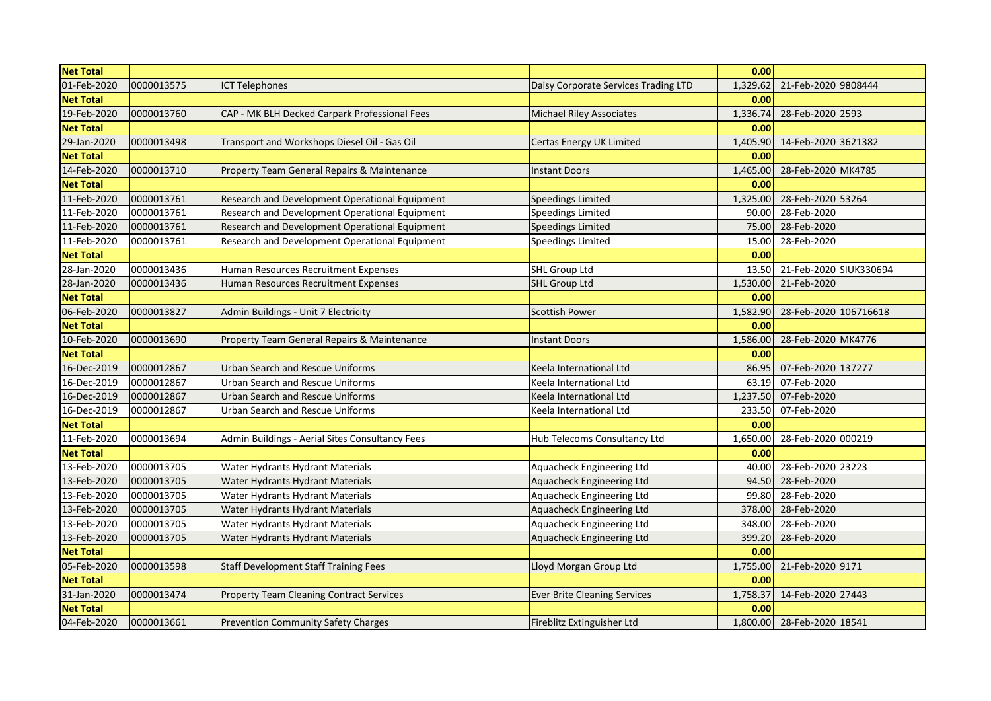| <b>Net Total</b> |            |                                                 |                                      | 0.00     |                            |  |
|------------------|------------|-------------------------------------------------|--------------------------------------|----------|----------------------------|--|
| 01-Feb-2020      | 0000013575 | <b>ICT Telephones</b>                           | Daisy Corporate Services Trading LTD | 1,329.62 | 21-Feb-2020 9808444        |  |
| <b>Net Total</b> |            |                                                 |                                      | 0.00     |                            |  |
| 19-Feb-2020      | 0000013760 | CAP - MK BLH Decked Carpark Professional Fees   | <b>Michael Riley Associates</b>      | 1,336.74 | 28-Feb-2020 2593           |  |
| <b>Net Total</b> |            |                                                 |                                      | 0.00     |                            |  |
| 29-Jan-2020      | 0000013498 | Transport and Workshops Diesel Oil - Gas Oil    | Certas Energy UK Limited             | 1,405.90 | 14-Feb-2020 3621382        |  |
| <b>Net Total</b> |            |                                                 |                                      | 0.00     |                            |  |
| 14-Feb-2020      | 0000013710 | Property Team General Repairs & Maintenance     | <b>Instant Doors</b>                 | 1,465.00 | 28-Feb-2020 MK4785         |  |
| <b>Net Total</b> |            |                                                 |                                      | 0.00     |                            |  |
| 11-Feb-2020      | 0000013761 | Research and Development Operational Equipment  | <b>Speedings Limited</b>             | 1,325.00 | 28-Feb-2020 53264          |  |
| 11-Feb-2020      | 0000013761 | Research and Development Operational Equipment  | Speedings Limited                    | 90.00    | 28-Feb-2020                |  |
| 11-Feb-2020      | 0000013761 | Research and Development Operational Equipment  | <b>Speedings Limited</b>             | 75.00    | 28-Feb-2020                |  |
| 11-Feb-2020      | 0000013761 | Research and Development Operational Equipment  | <b>Speedings Limited</b>             | 15.00    | 28-Feb-2020                |  |
| <b>Net Total</b> |            |                                                 |                                      | 0.00     |                            |  |
| 28-Jan-2020      | 0000013436 | Human Resources Recruitment Expenses            | <b>SHL Group Ltd</b>                 | 13.50    | 21-Feb-2020 SIUK330694     |  |
| 28-Jan-2020      | 0000013436 | Human Resources Recruitment Expenses            | <b>SHL Group Ltd</b>                 | 1,530.00 | 21-Feb-2020                |  |
| <b>Net Total</b> |            |                                                 |                                      | 0.00     |                            |  |
| 06-Feb-2020      | 0000013827 | Admin Buildings - Unit 7 Electricity            | <b>Scottish Power</b>                | 1,582.90 | 28-Feb-2020 106716618      |  |
| <b>Net Total</b> |            |                                                 |                                      | 0.00     |                            |  |
| 10-Feb-2020      | 0000013690 | Property Team General Repairs & Maintenance     | <b>Instant Doors</b>                 | 1,586.00 | 28-Feb-2020 MK4776         |  |
| <b>Net Total</b> |            |                                                 |                                      | 0.00     |                            |  |
| 16-Dec-2019      | 0000012867 | <b>Urban Search and Rescue Uniforms</b>         | Keela International Ltd              | 86.95    | 07-Feb-2020 137277         |  |
| 16-Dec-2019      | 0000012867 | Urban Search and Rescue Uniforms                | Keela International Ltd              | 63.19    | 07-Feb-2020                |  |
| 16-Dec-2019      | 0000012867 | Urban Search and Rescue Uniforms                | Keela International Ltd              | 1,237.50 | 07-Feb-2020                |  |
| 16-Dec-2019      | 0000012867 | Urban Search and Rescue Uniforms                | Keela International Ltd              | 233.50   | 07-Feb-2020                |  |
| <b>Net Total</b> |            |                                                 |                                      | 0.00     |                            |  |
| 11-Feb-2020      | 0000013694 | Admin Buildings - Aerial Sites Consultancy Fees | Hub Telecoms Consultancy Ltd         | 1,650.00 | 28-Feb-2020 000219         |  |
| <b>Net Total</b> |            |                                                 |                                      | 0.00     |                            |  |
| 13-Feb-2020      | 0000013705 | Water Hydrants Hydrant Materials                | Aquacheck Engineering Ltd            | 40.00    | 28-Feb-2020 23223          |  |
| 13-Feb-2020      | 0000013705 | Water Hydrants Hydrant Materials                | Aquacheck Engineering Ltd            | 94.50    | 28-Feb-2020                |  |
| 13-Feb-2020      | 0000013705 | Water Hydrants Hydrant Materials                | <b>Aquacheck Engineering Ltd</b>     | 99.80    | 28-Feb-2020                |  |
| 13-Feb-2020      | 0000013705 | Water Hydrants Hydrant Materials                | Aquacheck Engineering Ltd            | 378.00   | 28-Feb-2020                |  |
| 13-Feb-2020      | 0000013705 | Water Hydrants Hydrant Materials                | Aquacheck Engineering Ltd            | 348.00   | 28-Feb-2020                |  |
| 13-Feb-2020      | 0000013705 | Water Hydrants Hydrant Materials                | Aquacheck Engineering Ltd            | 399.20   | 28-Feb-2020                |  |
| <b>Net Total</b> |            |                                                 |                                      | 0.00     |                            |  |
| 05-Feb-2020      | 0000013598 | <b>Staff Development Staff Training Fees</b>    | Lloyd Morgan Group Ltd               | 1,755.00 | 21-Feb-2020 9171           |  |
| <b>Net Total</b> |            |                                                 |                                      | 0.00     |                            |  |
| 31-Jan-2020      | 0000013474 | <b>Property Team Cleaning Contract Services</b> | <b>Ever Brite Cleaning Services</b>  | 1,758.37 | 14-Feb-2020 27443          |  |
| <b>Net Total</b> |            |                                                 |                                      | 0.00     |                            |  |
| 04-Feb-2020      | 0000013661 | <b>Prevention Community Safety Charges</b>      | Fireblitz Extinguisher Ltd           |          | 1,800.00 28-Feb-2020 18541 |  |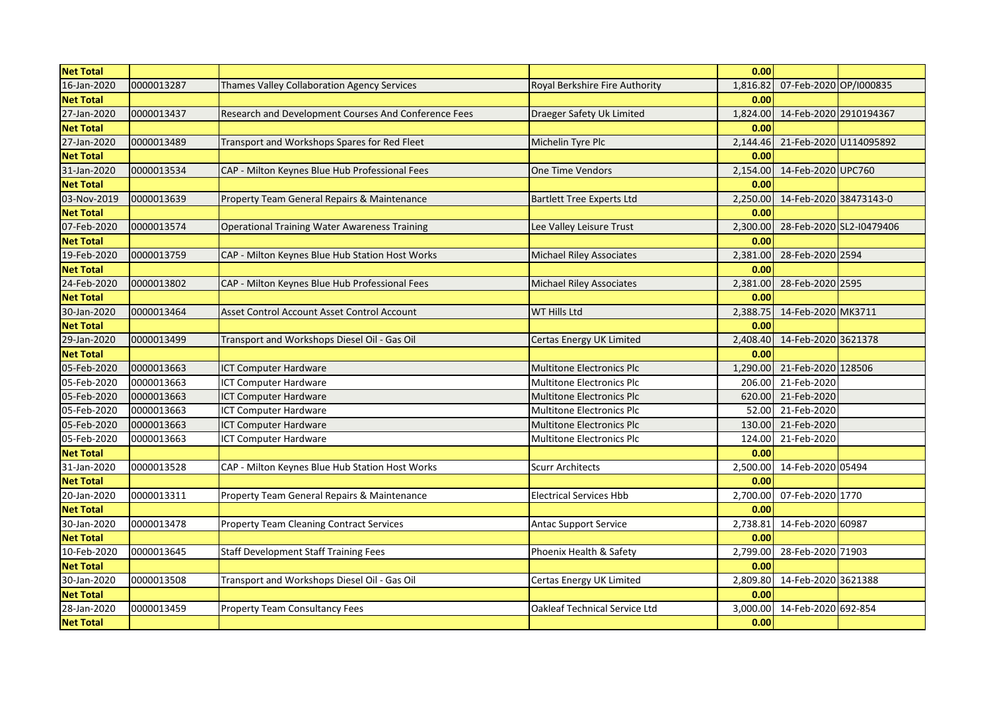| <b>Net Total</b> |            |                                                      |                                  | 0.00     |                                 |                          |
|------------------|------------|------------------------------------------------------|----------------------------------|----------|---------------------------------|--------------------------|
| 16-Jan-2020      | 0000013287 | Thames Valley Collaboration Agency Services          | Royal Berkshire Fire Authority   | 1,816.82 | 07-Feb-2020 OP/I000835          |                          |
| <b>Net Total</b> |            |                                                      |                                  | 0.00     |                                 |                          |
| 27-Jan-2020      | 0000013437 | Research and Development Courses And Conference Fees | Draeger Safety Uk Limited        |          | 1,824.00 14-Feb-2020 2910194367 |                          |
| <b>Net Total</b> |            |                                                      |                                  | 0.00     |                                 |                          |
| 27-Jan-2020      | 0000013489 | Transport and Workshops Spares for Red Fleet         | Michelin Tyre Plc                | 2,144.46 | 21-Feb-2020 U114095892          |                          |
| <b>Net Total</b> |            |                                                      |                                  | 0.00     |                                 |                          |
| 31-Jan-2020      | 0000013534 | CAP - Milton Keynes Blue Hub Professional Fees       | <b>One Time Vendors</b>          | 2,154.00 | 14-Feb-2020 UPC760              |                          |
| <b>Net Total</b> |            |                                                      |                                  | 0.00     |                                 |                          |
| 03-Nov-2019      | 0000013639 | Property Team General Repairs & Maintenance          | <b>Bartlett Tree Experts Ltd</b> | 2,250.00 | 14-Feb-2020 38473143-0          |                          |
| <b>Net Total</b> |            |                                                      |                                  | 0.00     |                                 |                          |
| 07-Feb-2020      | 0000013574 | <b>Operational Training Water Awareness Training</b> | Lee Valley Leisure Trust         | 2,300.00 |                                 | 28-Feb-2020 SL2-I0479406 |
| <b>Net Total</b> |            |                                                      |                                  | 0.00     |                                 |                          |
| 19-Feb-2020      | 0000013759 | CAP - Milton Keynes Blue Hub Station Host Works      | Michael Riley Associates         | 2,381.00 | 28-Feb-2020 2594                |                          |
| <b>Net Total</b> |            |                                                      |                                  | 0.00     |                                 |                          |
| 24-Feb-2020      | 0000013802 | CAP - Milton Keynes Blue Hub Professional Fees       | <b>Michael Riley Associates</b>  | 2,381.00 | 28-Feb-2020 2595                |                          |
| <b>Net Total</b> |            |                                                      |                                  | 0.00     |                                 |                          |
| 30-Jan-2020      | 0000013464 | Asset Control Account Asset Control Account          | WT Hills Ltd                     | 2,388.75 | 14-Feb-2020 MK3711              |                          |
| <b>Net Total</b> |            |                                                      |                                  | 0.00     |                                 |                          |
| 29-Jan-2020      | 0000013499 | Transport and Workshops Diesel Oil - Gas Oil         | Certas Energy UK Limited         | 2,408.40 | 14-Feb-2020 3621378             |                          |
| <b>Net Total</b> |            |                                                      |                                  | 0.00     |                                 |                          |
| 05-Feb-2020      | 0000013663 | <b>ICT Computer Hardware</b>                         | <b>Multitone Electronics Plc</b> | 1,290.00 | 21-Feb-2020 128506              |                          |
| 05-Feb-2020      | 0000013663 | <b>ICT Computer Hardware</b>                         | Multitone Electronics Plc        | 206.00   | 21-Feb-2020                     |                          |
| 05-Feb-2020      | 0000013663 | <b>ICT Computer Hardware</b>                         | <b>Multitone Electronics Plc</b> |          | 620.00 21-Feb-2020              |                          |
| 05-Feb-2020      | 0000013663 | <b>ICT Computer Hardware</b>                         | Multitone Electronics Plc        |          | 52.00 21-Feb-2020               |                          |
| 05-Feb-2020      | 0000013663 | <b>ICT Computer Hardware</b>                         | <b>Multitone Electronics Plc</b> |          | 130.00 21-Feb-2020              |                          |
| 05-Feb-2020      | 0000013663 | <b>ICT Computer Hardware</b>                         | Multitone Electronics Plc        | 124.00   | 21-Feb-2020                     |                          |
| <b>Net Total</b> |            |                                                      |                                  | 0.00     |                                 |                          |
| 31-Jan-2020      | 0000013528 | CAP - Milton Keynes Blue Hub Station Host Works      | <b>Scurr Architects</b>          | 2,500.00 | 14-Feb-2020 05494               |                          |
| <b>Net Total</b> |            |                                                      |                                  | 0.00     |                                 |                          |
| 20-Jan-2020      | 0000013311 | Property Team General Repairs & Maintenance          | <b>Electrical Services Hbb</b>   | 2,700.00 | 07-Feb-2020 1770                |                          |
| <b>Net Total</b> |            |                                                      |                                  | 0.00     |                                 |                          |
| 30-Jan-2020      | 0000013478 | <b>Property Team Cleaning Contract Services</b>      | <b>Antac Support Service</b>     | 2,738.81 | 14-Feb-2020 60987               |                          |
| <b>Net Total</b> |            |                                                      |                                  | 0.00     |                                 |                          |
| 10-Feb-2020      | 0000013645 | <b>Staff Development Staff Training Fees</b>         | Phoenix Health & Safety          | 2,799.00 | 28-Feb-2020 71903               |                          |
| <b>Net Total</b> |            |                                                      |                                  | 0.00     |                                 |                          |
| 30-Jan-2020      | 0000013508 | Transport and Workshops Diesel Oil - Gas Oil         | Certas Energy UK Limited         | 2,809.80 | 14-Feb-2020 3621388             |                          |
| <b>Net Total</b> |            |                                                      |                                  | 0.00     |                                 |                          |
| 28-Jan-2020      | 0000013459 | Property Team Consultancy Fees                       | Oakleaf Technical Service Ltd    | 3,000.00 | 14-Feb-2020 692-854             |                          |
| <b>Net Total</b> |            |                                                      |                                  | 0.00     |                                 |                          |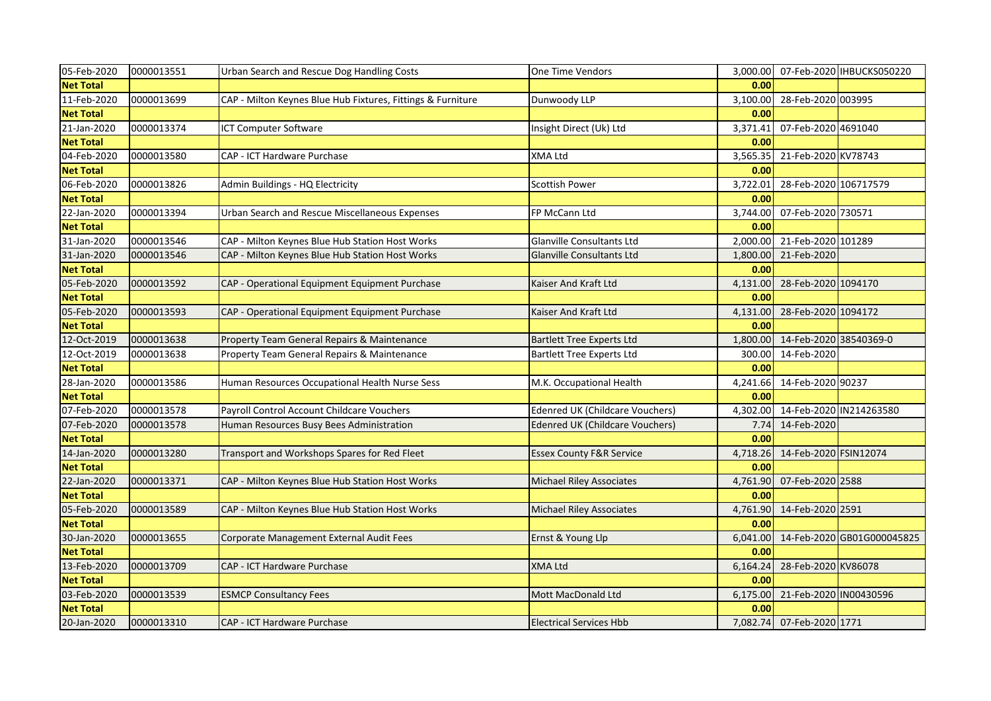| 05-Feb-2020      | 0000013551 | Urban Search and Rescue Dog Handling Costs                  | One Time Vendors                       |          |                                 | 3,000.00 07-Feb-2020 IHBUCKS050220  |
|------------------|------------|-------------------------------------------------------------|----------------------------------------|----------|---------------------------------|-------------------------------------|
| <b>Net Total</b> |            |                                                             |                                        | 0.00     |                                 |                                     |
| 11-Feb-2020      | 0000013699 | CAP - Milton Keynes Blue Hub Fixtures, Fittings & Furniture | Dunwoody LLP                           | 3,100.00 | 28-Feb-2020 003995              |                                     |
| <b>Net Total</b> |            |                                                             |                                        | 0.00     |                                 |                                     |
| 21-Jan-2020      | 0000013374 | <b>ICT Computer Software</b>                                | Insight Direct (Uk) Ltd                | 3,371.41 | 07-Feb-2020 4691040             |                                     |
| <b>Net Total</b> |            |                                                             |                                        | 0.00     |                                 |                                     |
| 04-Feb-2020      | 0000013580 | CAP - ICT Hardware Purchase                                 | XMA Ltd                                | 3,565.35 | 21-Feb-2020 KV78743             |                                     |
| <b>Net Total</b> |            |                                                             |                                        | 0.00     |                                 |                                     |
| 06-Feb-2020      | 0000013826 | Admin Buildings - HQ Electricity                            | <b>Scottish Power</b>                  | 3,722.01 | 28-Feb-2020 106717579           |                                     |
| <b>Net Total</b> |            |                                                             |                                        | 0.00     |                                 |                                     |
| 22-Jan-2020      | 0000013394 | Urban Search and Rescue Miscellaneous Expenses              | FP McCann Ltd                          | 3,744.00 | 07-Feb-2020 730571              |                                     |
| <b>Net Total</b> |            |                                                             |                                        | 0.00     |                                 |                                     |
| 31-Jan-2020      | 0000013546 | CAP - Milton Keynes Blue Hub Station Host Works             | Glanville Consultants Ltd              | 2,000.00 | 21-Feb-2020 101289              |                                     |
| 31-Jan-2020      | 0000013546 | CAP - Milton Keynes Blue Hub Station Host Works             | <b>Glanville Consultants Ltd</b>       | 1,800.00 | 21-Feb-2020                     |                                     |
| <b>Net Total</b> |            |                                                             |                                        | 0.00     |                                 |                                     |
| 05-Feb-2020      | 0000013592 | CAP - Operational Equipment Equipment Purchase              | Kaiser And Kraft Ltd                   | 4,131.00 | 28-Feb-2020 1094170             |                                     |
| <b>Net Total</b> |            |                                                             |                                        | 0.00     |                                 |                                     |
| 05-Feb-2020      | 0000013593 | CAP - Operational Equipment Equipment Purchase              | Kaiser And Kraft Ltd                   | 4,131.00 | 28-Feb-2020 1094172             |                                     |
| <b>Net Total</b> |            |                                                             |                                        | 0.00     |                                 |                                     |
| 12-Oct-2019      | 0000013638 | Property Team General Repairs & Maintenance                 | <b>Bartlett Tree Experts Ltd</b>       | 1,800.00 | 14-Feb-2020 38540369-0          |                                     |
| 12-Oct-2019      | 0000013638 | Property Team General Repairs & Maintenance                 | <b>Bartlett Tree Experts Ltd</b>       | 300.00   | 14-Feb-2020                     |                                     |
| <b>Net Total</b> |            |                                                             |                                        | 0.00     |                                 |                                     |
| 28-Jan-2020      | 0000013586 | Human Resources Occupational Health Nurse Sess              | M.K. Occupational Health               | 4,241.66 | 14-Feb-2020 90237               |                                     |
| <b>Net Total</b> |            |                                                             |                                        | 0.00     |                                 |                                     |
| 07-Feb-2020      | 0000013578 | Payroll Control Account Childcare Vouchers                  | <b>Edenred UK (Childcare Vouchers)</b> | 4,302.00 |                                 | 14-Feb-2020 IN214263580             |
| 07-Feb-2020      | 0000013578 | Human Resources Busy Bees Administration                    | <b>Edenred UK (Childcare Vouchers)</b> |          | 7.74 14-Feb-2020                |                                     |
| <b>Net Total</b> |            |                                                             |                                        | 0.00     |                                 |                                     |
| 14-Jan-2020      | 0000013280 | Transport and Workshops Spares for Red Fleet                | <b>Essex County F&amp;R Service</b>    | 4,718.26 | 14-Feb-2020 FSIN12074           |                                     |
| <b>Net Total</b> |            |                                                             |                                        | 0.00     |                                 |                                     |
| 22-Jan-2020      | 0000013371 | CAP - Milton Keynes Blue Hub Station Host Works             | <b>Michael Riley Associates</b>        | 4,761.90 | 07-Feb-2020 2588                |                                     |
| <b>Net Total</b> |            |                                                             |                                        | 0.00     |                                 |                                     |
| 05-Feb-2020      | 0000013589 | CAP - Milton Keynes Blue Hub Station Host Works             | <b>Michael Riley Associates</b>        |          | 4,761.90 14-Feb-2020 2591       |                                     |
| <b>Net Total</b> |            |                                                             |                                        | 0.00     |                                 |                                     |
| 30-Jan-2020      | 0000013655 | Corporate Management External Audit Fees                    | Ernst & Young Llp                      |          |                                 | 6,041.00 14-Feb-2020 GB01G000045825 |
| <b>Net Total</b> |            |                                                             |                                        | 0.00     |                                 |                                     |
| 13-Feb-2020      | 0000013709 | CAP - ICT Hardware Purchase                                 | <b>XMA Ltd</b>                         | 6,164.24 | 28-Feb-2020 KV86078             |                                     |
| <b>Net Total</b> |            |                                                             |                                        | 0.00     |                                 |                                     |
| 03-Feb-2020      | 0000013539 | <b>ESMCP Consultancy Fees</b>                               | Mott MacDonald Ltd                     |          | 6,175.00 21-Feb-2020 IN00430596 |                                     |
| <b>Net Total</b> |            |                                                             |                                        | 0.00     |                                 |                                     |
| 20-Jan-2020      | 0000013310 | <b>CAP - ICT Hardware Purchase</b>                          | <b>Electrical Services Hbb</b>         |          | 7,082.74 07-Feb-2020 1771       |                                     |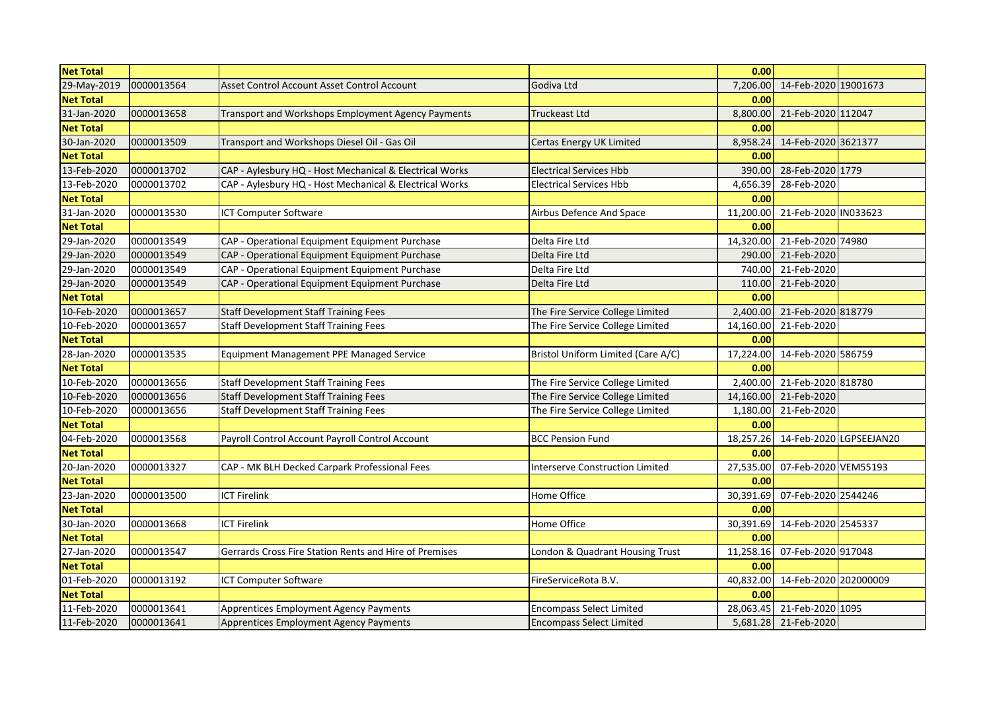| <b>Net Total</b> |            |                                                         |                                        | 0.00      |                         |  |
|------------------|------------|---------------------------------------------------------|----------------------------------------|-----------|-------------------------|--|
| 29-May-2019      | 0000013564 | Asset Control Account Asset Control Account             | Godiva Ltd                             | 7,206.00  | 14-Feb-2020 19001673    |  |
| <b>Net Total</b> |            |                                                         |                                        | 0.00      |                         |  |
| 31-Jan-2020      | 0000013658 | Transport and Workshops Employment Agency Payments      | Truckeast Ltd                          | 8,800.00  | 21-Feb-2020 112047      |  |
| <b>Net Total</b> |            |                                                         |                                        | 0.00      |                         |  |
| 30-Jan-2020      | 0000013509 | Transport and Workshops Diesel Oil - Gas Oil            | Certas Energy UK Limited               | 8,958.24  | 14-Feb-2020 3621377     |  |
| <b>Net Total</b> |            |                                                         |                                        | 0.00      |                         |  |
| 13-Feb-2020      | 0000013702 | CAP - Aylesbury HQ - Host Mechanical & Electrical Works | <b>Electrical Services Hbb</b>         | 390.00    | 28-Feb-2020 1779        |  |
| 13-Feb-2020      | 0000013702 | CAP - Aylesbury HQ - Host Mechanical & Electrical Works | <b>Electrical Services Hbb</b>         | 4,656.39  | 28-Feb-2020             |  |
| <b>Net Total</b> |            |                                                         |                                        | 0.00      |                         |  |
| 31-Jan-2020      | 0000013530 | ICT Computer Software                                   | Airbus Defence And Space               | 11,200.00 | 21-Feb-2020 IN033623    |  |
| <b>Net Total</b> |            |                                                         |                                        | 0.00      |                         |  |
| 29-Jan-2020      | 0000013549 | CAP - Operational Equipment Equipment Purchase          | Delta Fire Ltd                         | 14,320.00 | 21-Feb-2020 74980       |  |
| 29-Jan-2020      | 0000013549 | CAP - Operational Equipment Equipment Purchase          | Delta Fire Ltd                         | 290.00    | 21-Feb-2020             |  |
| 29-Jan-2020      | 0000013549 | CAP - Operational Equipment Equipment Purchase          | Delta Fire Ltd                         | 740.00    | 21-Feb-2020             |  |
| 29-Jan-2020      | 0000013549 | CAP - Operational Equipment Equipment Purchase          | Delta Fire Ltd                         | 110.00    | 21-Feb-2020             |  |
| <b>Net Total</b> |            |                                                         |                                        | 0.00      |                         |  |
| 10-Feb-2020      | 0000013657 | <b>Staff Development Staff Training Fees</b>            | The Fire Service College Limited       | 2,400.00  | 21-Feb-2020 818779      |  |
| 10-Feb-2020      | 0000013657 | <b>Staff Development Staff Training Fees</b>            | The Fire Service College Limited       | 14,160.00 | 21-Feb-2020             |  |
| <b>Net Total</b> |            |                                                         |                                        | 0.00      |                         |  |
| 28-Jan-2020      | 0000013535 | Equipment Management PPE Managed Service                | Bristol Uniform Limited (Care A/C)     | 17,224.00 | 14-Feb-2020 586759      |  |
| <b>Net Total</b> |            |                                                         |                                        | 0.00      |                         |  |
| 10-Feb-2020      | 0000013656 | <b>Staff Development Staff Training Fees</b>            | The Fire Service College Limited       | 2,400.00  | 21-Feb-2020 818780      |  |
| 10-Feb-2020      | 0000013656 | <b>Staff Development Staff Training Fees</b>            | The Fire Service College Limited       | 14,160.00 | 21-Feb-2020             |  |
| 10-Feb-2020      | 0000013656 | <b>Staff Development Staff Training Fees</b>            | The Fire Service College Limited       | 1,180.00  | 21-Feb-2020             |  |
| <b>Net Total</b> |            |                                                         |                                        | 0.00      |                         |  |
| 04-Feb-2020      | 0000013568 | Payroll Control Account Payroll Control Account         | <b>BCC Pension Fund</b>                | 18,257.26 | 14-Feb-2020 LGPSEEJAN20 |  |
| <b>Net Total</b> |            |                                                         |                                        | 0.00      |                         |  |
| 20-Jan-2020      | 0000013327 | CAP - MK BLH Decked Carpark Professional Fees           | <b>Interserve Construction Limited</b> | 27,535.00 | 07-Feb-2020 VEM55193    |  |
| <b>Net Total</b> |            |                                                         |                                        | 0.00      |                         |  |
| 23-Jan-2020      | 0000013500 | <b>ICT Firelink</b>                                     | Home Office                            | 30,391.69 | 07-Feb-2020 2544246     |  |
| <b>Net Total</b> |            |                                                         |                                        | 0.00      |                         |  |
| 30-Jan-2020      | 0000013668 | <b>ICT Firelink</b>                                     | Home Office                            | 30,391.69 | 14-Feb-2020 2545337     |  |
| <b>Net Total</b> |            |                                                         |                                        | 0.00      |                         |  |
| 27-Jan-2020      | 0000013547 | Gerrards Cross Fire Station Rents and Hire of Premises  | London & Quadrant Housing Trust        | 11,258.16 | 07-Feb-2020 917048      |  |
| <b>Net Total</b> |            |                                                         |                                        | 0.00      |                         |  |
| 01-Feb-2020      | 0000013192 | ICT Computer Software                                   | FireServiceRota B.V.                   | 40,832.00 | 14-Feb-2020 202000009   |  |
| <b>Net Total</b> |            |                                                         |                                        | 0.00      |                         |  |
| 11-Feb-2020      | 0000013641 | Apprentices Employment Agency Payments                  | <b>Encompass Select Limited</b>        | 28,063.45 | 21-Feb-2020 1095        |  |
| 11-Feb-2020      | 0000013641 | Apprentices Employment Agency Payments                  | <b>Encompass Select Limited</b>        |           | 5,681.28 21-Feb-2020    |  |